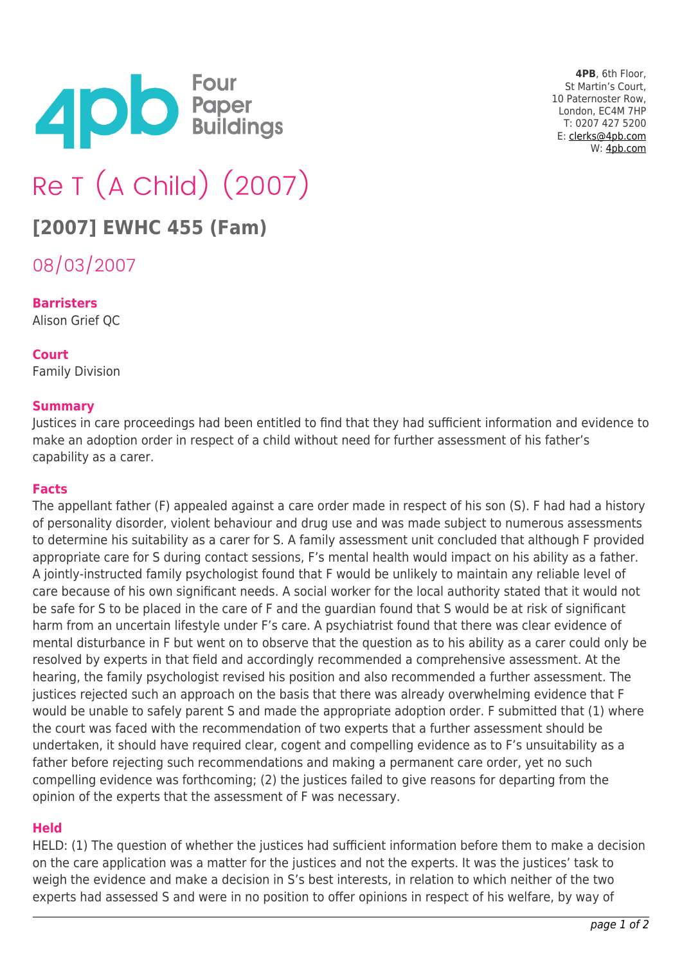

**4PB**, 6th Floor, St Martin's Court, 10 Paternoster Row, London, EC4M 7HP T: 0207 427 5200 E: [clerks@4pb.com](mailto:clerks@4pb.com) W: [4pb.com](http://4pb.com)

# Re T (A Child) (2007)

## **[2007] EWHC 455 (Fam)**

08/03/2007

#### **Barristers**

Alison Grief QC

#### **Court**

Family Division

#### **Summary**

Justices in care proceedings had been entitled to find that they had sufficient information and evidence to make an adoption order in respect of a child without need for further assessment of his father's capability as a carer.

#### **Facts**

The appellant father (F) appealed against a care order made in respect of his son (S). F had had a history of personality disorder, violent behaviour and drug use and was made subject to numerous assessments to determine his suitability as a carer for S. A family assessment unit concluded that although F provided appropriate care for S during contact sessions, F's mental health would impact on his ability as a father. A jointly-instructed family psychologist found that F would be unlikely to maintain any reliable level of care because of his own significant needs. A social worker for the local authority stated that it would not be safe for S to be placed in the care of F and the guardian found that S would be at risk of significant harm from an uncertain lifestyle under F's care. A psychiatrist found that there was clear evidence of mental disturbance in F but went on to observe that the question as to his ability as a carer could only be resolved by experts in that field and accordingly recommended a comprehensive assessment. At the hearing, the family psychologist revised his position and also recommended a further assessment. The justices rejected such an approach on the basis that there was already overwhelming evidence that F would be unable to safely parent S and made the appropriate adoption order. F submitted that (1) where the court was faced with the recommendation of two experts that a further assessment should be undertaken, it should have required clear, cogent and compelling evidence as to F's unsuitability as a father before rejecting such recommendations and making a permanent care order, yet no such compelling evidence was forthcoming; (2) the justices failed to give reasons for departing from the opinion of the experts that the assessment of F was necessary.

#### **Held**

HELD: (1) The question of whether the justices had sufficient information before them to make a decision on the care application was a matter for the justices and not the experts. It was the justices' task to weigh the evidence and make a decision in S's best interests, in relation to which neither of the two experts had assessed S and were in no position to offer opinions in respect of his welfare, by way of